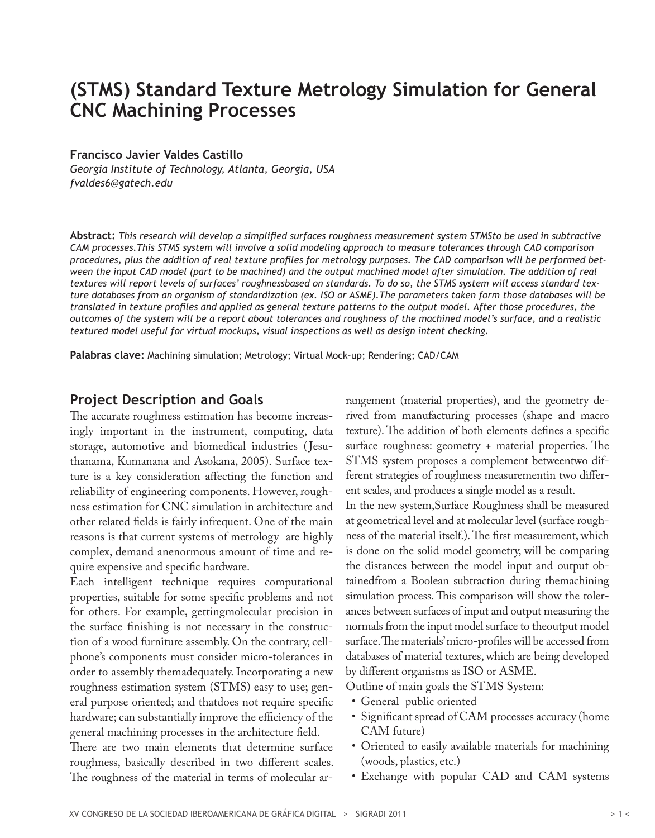# **(STMS) Standard Texture Metrology Simulation for General CNC Machining Processes**

#### **Francisco Javier Valdes Castillo**

*Georgia Institute of Technology, Atlanta, Georgia, USA fvaldes6@gatech.edu*

**Abstract:** *This research will develop a simplified surfaces roughness measurement system STMSto be used in subtractive CAM processes.This STMS system will involve a solid modeling approach to measure tolerances through CAD comparison procedures, plus the addition of real texture profiles for metrology purposes. The CAD comparison will be performed bet*ween the input CAD model (part to be machined) and the output machined model after simulation. The addition of real *textures will report levels of surfaces' roughnessbased on standards. To do so, the STMS system will access standard texture databases from an organism of standardization (ex. ISO or ASME).The parameters taken form those databases will be translated in texture profiles and applied as general texture patterns to the output model. After those procedures, the outcomes of the system will be a report about tolerances and roughness of the machined model's surface, and a realistic textured model useful for virtual mockups, visual inspections as well as design intent checking.*

**Palabras clave:** Machining simulation; Metrology; Virtual Mock-up; Rendering; CAD/CAM

#### **Project Description and Goals**

The accurate roughness estimation has become increasingly important in the instrument, computing, data storage, automotive and biomedical industries ( Jesuthanama, Kumanana and Asokana, 2005). Surface texture is a key consideration affecting the function and reliability of engineering components. However, roughness estimation for CNC simulation in architecture and other related fields is fairly infrequent. One of the main reasons is that current systems of metrology are highly complex, demand anenormous amount of time and require expensive and specific hardware.

Each intelligent technique requires computational properties, suitable for some specific problems and not for others. For example, gettingmolecular precision in the surface finishing is not necessary in the construction of a wood furniture assembly. On the contrary, cellphone's components must consider micro-tolerances in order to assembly themadequately. Incorporating a new roughness estimation system (STMS) easy to use; general purpose oriented; and thatdoes not require specific hardware; can substantially improve the efficiency of the general machining processes in the architecture field.

There are two main elements that determine surface roughness, basically described in two different scales. The roughness of the material in terms of molecular arrangement (material properties), and the geometry derived from manufacturing processes (shape and macro texture). The addition of both elements defines a specific surface roughness: geometry + material properties. The STMS system proposes a complement betweentwo different strategies of roughness measurementin two different scales, and produces a single model as a result. In the new system,Surface Roughness shall be measured at geometrical level and at molecular level (surface roughness of the material itself.). The first measurement, which is done on the solid model geometry, will be comparing

the distances between the model input and output obtainedfrom a Boolean subtraction during themachining simulation process. This comparison will show the tolerances between surfaces of input and output measuring the normals from the input model surface to theoutput model surface. The materials' micro-profiles will be accessed from databases of material textures, which are being developed by different organisms as ISO or ASME.

Outline of main goals the STMS System:

- • General public oriented
- Significant spread of CAM processes accuracy (home CAM future)
- Oriented to easily available materials for machining (woods, plastics, etc.)
- Exchange with popular CAD and CAM systems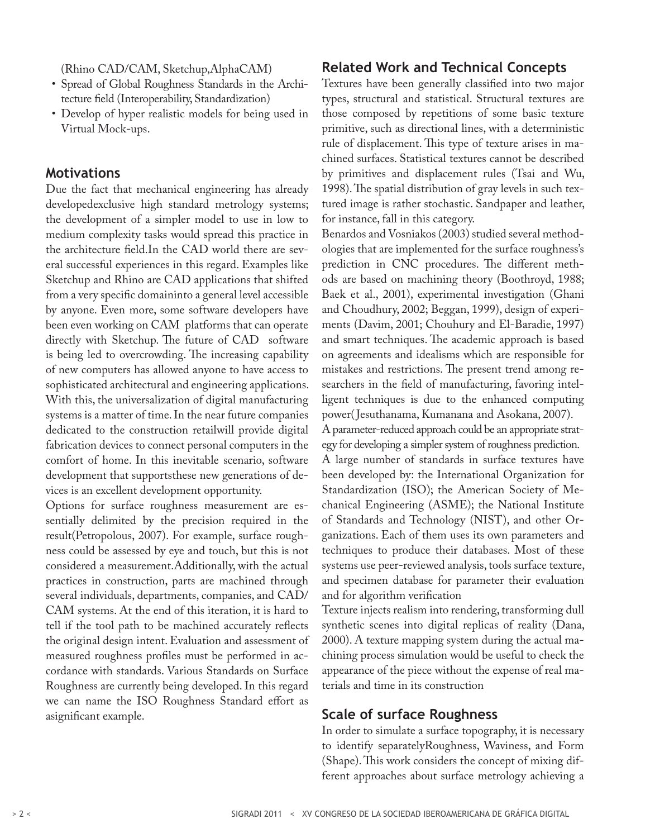(Rhino CAD/CAM, Sketchup,AlphaCAM)

- • Spread of Global Roughness Standards in the Architecture field (Interoperability, Standardization)
- • Develop of hyper realistic models for being used in Virtual Mock-ups.

#### **Motivations**

Due the fact that mechanical engineering has already developedexclusive high standard metrology systems; the development of a simpler model to use in low to medium complexity tasks would spread this practice in the architecture field.In the CAD world there are several successful experiences in this regard. Examples like Sketchup and Rhino are CAD applications that shifted from a very specific domaininto a general level accessible by anyone. Even more, some software developers have been even working on CAM platforms that can operate directly with Sketchup. The future of CAD software is being led to overcrowding. The increasing capability of new computers has allowed anyone to have access to sophisticated architectural and engineering applications. With this, the universalization of digital manufacturing systems is a matter of time. In the near future companies dedicated to the construction retailwill provide digital fabrication devices to connect personal computers in the comfort of home. In this inevitable scenario, software development that supportsthese new generations of devices is an excellent development opportunity.

Options for surface roughness measurement are essentially delimited by the precision required in the result(Petropolous, 2007). For example, surface roughness could be assessed by eye and touch, but this is not considered a measurement.Additionally, with the actual practices in construction, parts are machined through several individuals, departments, companies, and CAD/ CAM systems. At the end of this iteration, it is hard to tell if the tool path to be machined accurately reflects the original design intent. Evaluation and assessment of measured roughness profiles must be performed in accordance with standards. Various Standards on Surface Roughness are currently being developed. In this regard we can name the ISO Roughness Standard effort as asignificant example.

### **Related Work and Technical Concepts**

Textures have been generally classified into two major types, structural and statistical. Structural textures are those composed by repetitions of some basic texture primitive, such as directional lines, with a deterministic rule of displacement. This type of texture arises in machined surfaces. Statistical textures cannot be described by primitives and displacement rules (Tsai and Wu, 1998). The spatial distribution of gray levels in such textured image is rather stochastic. Sandpaper and leather, for instance, fall in this category.

Benardos and Vosniakos (2003) studied several methodologies that are implemented for the surface roughness's prediction in CNC procedures. The different methods are based on machining theory (Boothroyd, 1988; Baek et al., 2001), experimental investigation (Ghani and Choudhury, 2002; Beggan, 1999), design of experiments (Davim, 2001; Chouhury and El-Baradie, 1997) and smart techniques. The academic approach is based on agreements and idealisms which are responsible for mistakes and restrictions. The present trend among researchers in the field of manufacturing, favoring intelligent techniques is due to the enhanced computing power( Jesuthanama, Kumanana and Asokana, 2007).

A parameter-reduced approach could be an appropriate strategy for developing a simpler system of roughness prediction. A large number of standards in surface textures have been developed by: the International Organization for Standardization (ISO); the American Society of Mechanical Engineering (ASME); the National Institute of Standards and Technology (NIST), and other Organizations. Each of them uses its own parameters and techniques to produce their databases. Most of these systems use peer-reviewed analysis, tools surface texture, and specimen database for parameter their evaluation and for algorithm verification

Texture injects realism into rendering, transforming dull synthetic scenes into digital replicas of reality (Dana, 2000). A texture mapping system during the actual machining process simulation would be useful to check the appearance of the piece without the expense of real materials and time in its construction

#### **Scale of surface Roughness**

In order to simulate a surface topography, it is necessary to identify separatelyRoughness, Waviness, and Form (Shape). This work considers the concept of mixing different approaches about surface metrology achieving a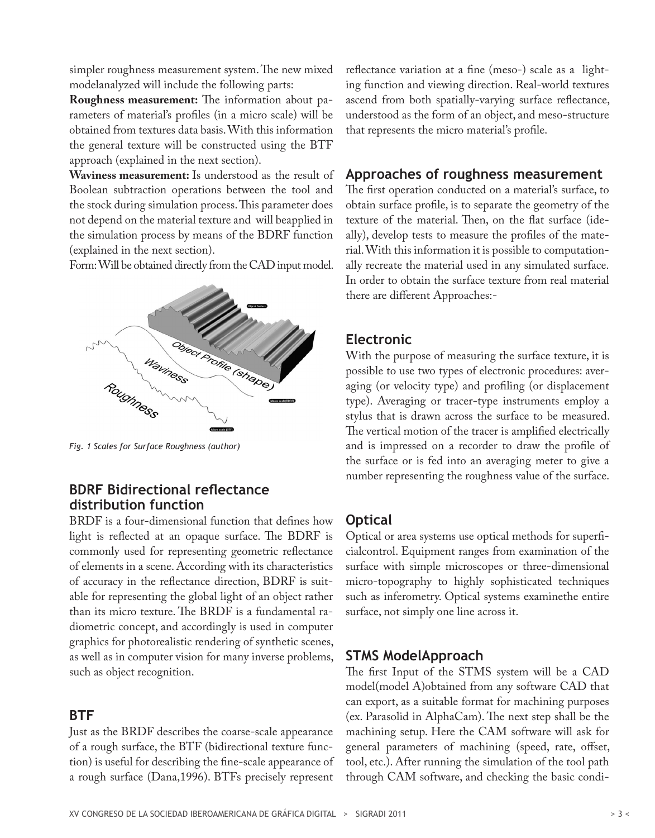simpler roughness measurement system. The new mixed modelanalyzed will include the following parts:

**Roughness measurement:** The information about parameters of material's profiles (in a micro scale) will be obtained from textures data basis. With this information the general texture will be constructed using the BTF approach (explained in the next section).

**Waviness measurement:** Is understood as the result of Boolean subtraction operations between the tool and the stock during simulation process. This parameter does not depend on the material texture and will beapplied in the simulation process by means of the BDRF function (explained in the next section).

Form: Will be obtained directly from the CAD input model.



*Fig. 1 Scales for Surface Roughness (author)*

# **BDRF Bidirectional reflectance distribution function**

BRDF is a four-dimensional function that defines how light is reflected at an opaque surface. The BDRF is commonly used for representing geometric reflectance of elements in a scene. According with its characteristics of accuracy in the reflectance direction, BDRF is suitable for representing the global light of an object rather than its micro texture. The BRDF is a fundamental radiometric concept, and accordingly is used in computer graphics for photorealistic rendering of synthetic scenes, as well as in computer vision for many inverse problems, such as object recognition.

# **BTF**

Just as the BRDF describes the coarse-scale appearance of a rough surface, the BTF (bidirectional texture function) is useful for describing the fine-scale appearance of a rough surface (Dana,1996). BTFs precisely represent

reflectance variation at a fine (meso-) scale as a lighting function and viewing direction. Real-world textures ascend from both spatially-varying surface reflectance, understood as the form of an object, and meso-structure that represents the micro material's profile.

### **Approaches of roughness measurement**

The first operation conducted on a material's surface, to obtain surface profile, is to separate the geometry of the texture of the material. Then, on the flat surface (ideally), develop tests to measure the profiles of the material. With this information it is possible to computationally recreate the material used in any simulated surface. In order to obtain the surface texture from real material there are different Approaches:-

# **Electronic**

With the purpose of measuring the surface texture, it is possible to use two types of electronic procedures: averaging (or velocity type) and profiling (or displacement type). Averaging or tracer-type instruments employ a stylus that is drawn across the surface to be measured. The vertical motion of the tracer is amplified electrically and is impressed on a recorder to draw the profile of the surface or is fed into an averaging meter to give a number representing the roughness value of the surface.

# **Optical**

Optical or area systems use optical methods for superficialcontrol. Equipment ranges from examination of the surface with simple microscopes or three-dimensional micro-topography to highly sophisticated techniques such as inferometry. Optical systems examinethe entire surface, not simply one line across it.

# **STMS ModelApproach**

The first Input of the STMS system will be a CAD model(model A)obtained from any software CAD that can export, as a suitable format for machining purposes (ex. Parasolid in AlphaCam). The next step shall be the machining setup. Here the CAM software will ask for general parameters of machining (speed, rate, offset, tool, etc.). After running the simulation of the tool path through CAM software, and checking the basic condi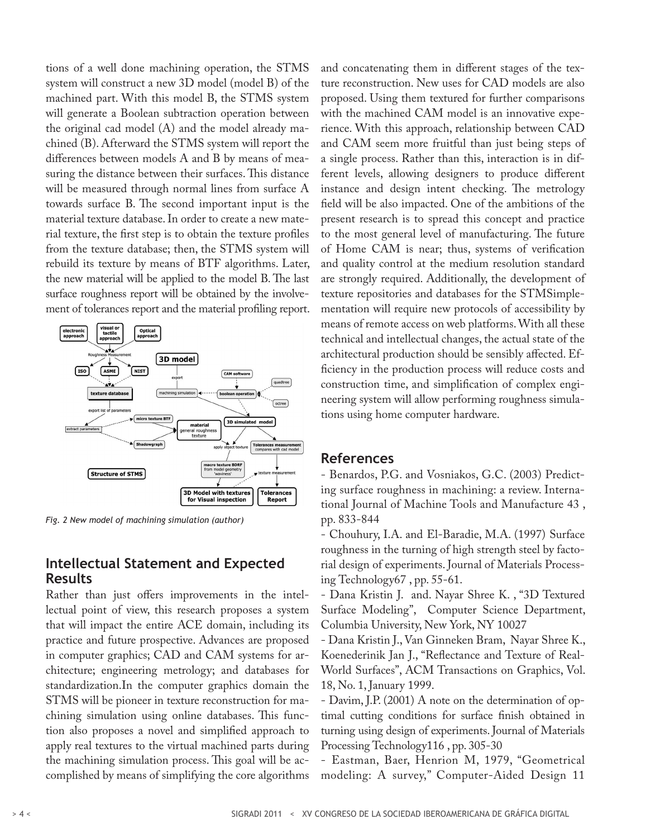tions of a well done machining operation, the STMS system will construct a new 3D model (model B) of the machined part. With this model B, the STMS system will generate a Boolean subtraction operation between the original cad model (A) and the model already machined (B). Afterward the STMS system will report the differences between models A and B by means of measuring the distance between their surfaces. This distance will be measured through normal lines from surface A towards surface B. The second important input is the material texture database. In order to create a new material texture, the first step is to obtain the texture profiles from the texture database; then, the STMS system will rebuild its texture by means of BTF algorithms. Later, the new material will be applied to the model B. The last surface roughness report will be obtained by the involvement of tolerances report and the material profiling report.



*Fig. 2 New model of machining simulation (author)*

### **Intellectual Statement and Expected Results**

Rather than just offers improvements in the intellectual point of view, this research proposes a system that will impact the entire ACE domain, including its practice and future prospective. Advances are proposed in computer graphics; CAD and CAM systems for architecture; engineering metrology; and databases for standardization.In the computer graphics domain the STMS will be pioneer in texture reconstruction for machining simulation using online databases. This function also proposes a novel and simplified approach to apply real textures to the virtual machined parts during the machining simulation process. This goal will be accomplished by means of simplifying the core algorithms and concatenating them in different stages of the texture reconstruction. New uses for CAD models are also proposed. Using them textured for further comparisons with the machined CAM model is an innovative experience. With this approach, relationship between CAD and CAM seem more fruitful than just being steps of a single process. Rather than this, interaction is in different levels, allowing designers to produce different instance and design intent checking. The metrology field will be also impacted. One of the ambitions of the present research is to spread this concept and practice to the most general level of manufacturing. The future of Home CAM is near; thus, systems of verification and quality control at the medium resolution standard are strongly required. Additionally, the development of texture repositories and databases for the STMSimplementation will require new protocols of accessibility by means of remote access on web platforms. With all these technical and intellectual changes, the actual state of the architectural production should be sensibly affected. Efficiency in the production process will reduce costs and construction time, and simplification of complex engineering system will allow performing roughness simulations using home computer hardware.

#### **References**

- Benardos, P.G. and Vosniakos, G.C. (2003) Predicting surface roughness in machining: a review. International Journal of Machine Tools and Manufacture 43 , pp. 833-844

- Chouhury, I.A. and El-Baradie, M.A. (1997) Surface roughness in the turning of high strength steel by factorial design of experiments. Journal of Materials Processing Technology67 , pp. 55-61.

- Dana Kristin J. and. Nayar Shree K. , "3D Textured Surface Modeling", Computer Science Department, Columbia University, New York, NY 10027

- Dana Kristin J., Van Ginneken Bram, Nayar Shree K., Koenederinik Jan J., "Reflectance and Texture of Real-World Surfaces", ACM Transactions on Graphics, Vol. 18, No. 1, January 1999.

- Davim, J.P. (2001) A note on the determination of optimal cutting conditions for surface finish obtained in turning using design of experiments. Journal of Materials Processing Technology116 , pp. 305-30

- Eastman, Baer, Henrion M, 1979, "Geometrical modeling: A survey," Computer-Aided Design 11